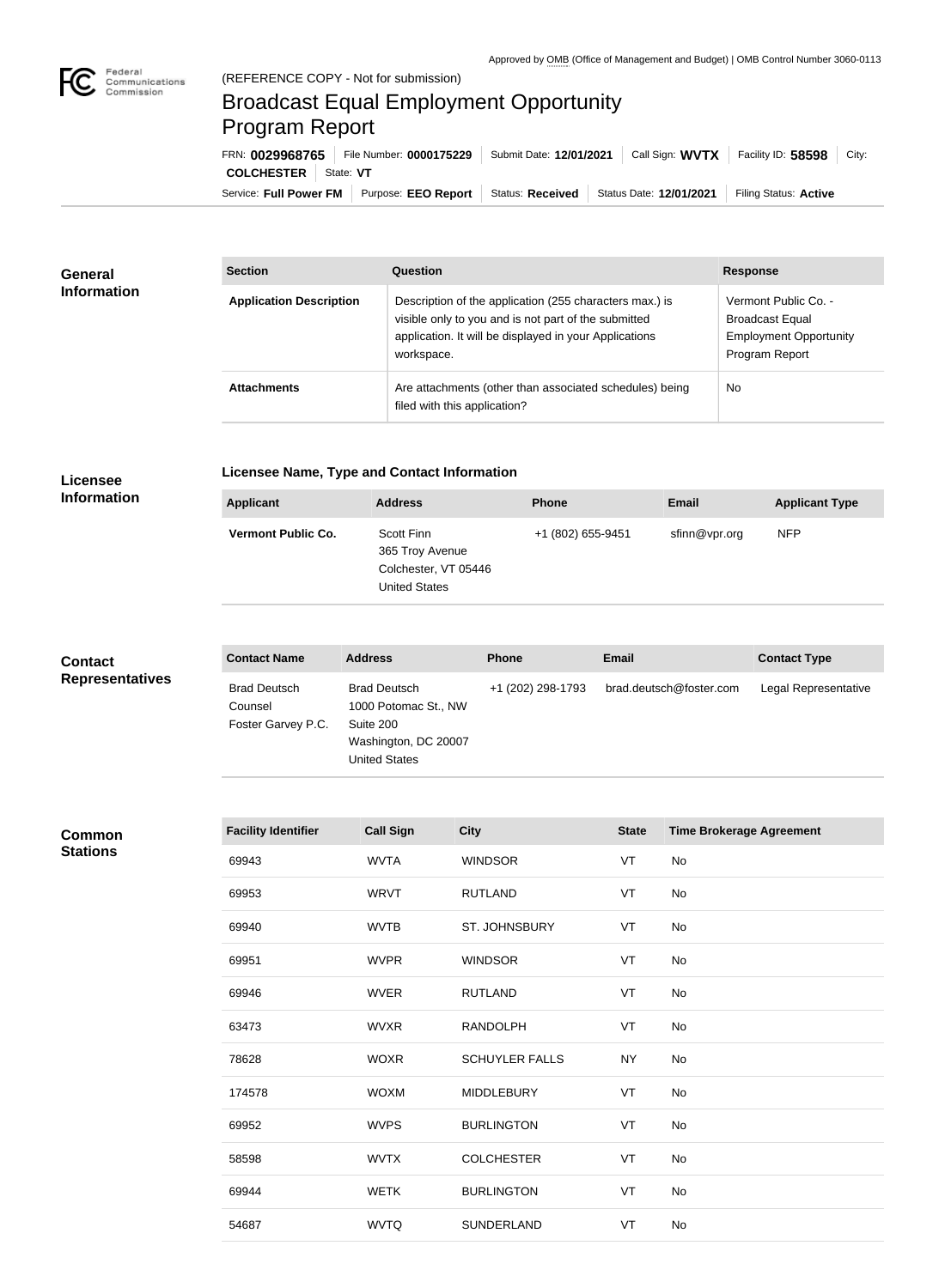

## Broadcast Equal Employment Opportunity Program Report

Service: Full Power FM Purpose: EEO Report | Status: Received | Status Date: 12/01/2021 | Filing Status: Active **COLCHESTER** | State: VT FRN: **0029968765** File Number: **0000175229** Submit Date: **12/01/2021** Call Sign: **WVTX** Facility ID: **58598** City:

| <b>General</b><br><b>Information</b> | <b>Section</b>                 | Question                                                                                                                                                                                | <b>Response</b>                                                                                   |  |
|--------------------------------------|--------------------------------|-----------------------------------------------------------------------------------------------------------------------------------------------------------------------------------------|---------------------------------------------------------------------------------------------------|--|
|                                      | <b>Application Description</b> | Description of the application (255 characters max.) is<br>visible only to you and is not part of the submitted<br>application. It will be displayed in your Applications<br>workspace. | Vermont Public Co. -<br><b>Broadcast Equal</b><br><b>Employment Opportunity</b><br>Program Report |  |
|                                      | <b>Attachments</b>             | Are attachments (other than associated schedules) being<br>filed with this application?                                                                                                 | <b>No</b>                                                                                         |  |

## **Licensee Information**

## **Licensee Name, Type and Contact Information**

| Applicant                 | <b>Address</b>                                                                | <b>Phone</b>      | <b>Email</b>  | <b>Applicant Type</b> |
|---------------------------|-------------------------------------------------------------------------------|-------------------|---------------|-----------------------|
| <b>Vermont Public Co.</b> | Scott Finn<br>365 Troy Avenue<br>Colchester, VT 05446<br><b>United States</b> | +1 (802) 655-9451 | sfinn@vpr.org | <b>NFP</b>            |

| <b>Contact</b>         | <b>Contact Name</b>                                  | <b>Address</b>                                                                                           | <b>Phone</b>      | <b>Email</b>            | <b>Contact Type</b>  |
|------------------------|------------------------------------------------------|----------------------------------------------------------------------------------------------------------|-------------------|-------------------------|----------------------|
| <b>Representatives</b> | <b>Brad Deutsch</b><br>Counsel<br>Foster Garvey P.C. | <b>Brad Deutsch</b><br>1000 Potomac St., NW<br>Suite 200<br>Washington, DC 20007<br><b>United States</b> | +1 (202) 298-1793 | brad.deutsch@foster.com | Legal Representative |

## **Common Stations**

| <b>Facility Identifier</b> | <b>Call Sign</b> | <b>City</b>           | <b>State</b> | <b>Time Brokerage Agreement</b> |
|----------------------------|------------------|-----------------------|--------------|---------------------------------|
| 69943                      | <b>WVTA</b>      | <b>WINDSOR</b>        | VT           | No                              |
| 69953                      | <b>WRVT</b>      | <b>RUTLAND</b>        | VT           | No                              |
| 69940                      | <b>WVTB</b>      | ST. JOHNSBURY         | VT           | No                              |
| 69951                      | <b>WVPR</b>      | <b>WINDSOR</b>        | VT           | No                              |
| 69946                      | <b>WVER</b>      | <b>RUTLAND</b>        | VT           | No                              |
| 63473                      | <b>WVXR</b>      | <b>RANDOLPH</b>       | VT           | No                              |
| 78628                      | <b>WOXR</b>      | <b>SCHUYLER FALLS</b> | <b>NY</b>    | No                              |
| 174578                     | <b>WOXM</b>      | <b>MIDDLEBURY</b>     | VT           | No                              |
| 69952                      | <b>WVPS</b>      | <b>BURLINGTON</b>     | VT           | No                              |
| 58598                      | <b>WVTX</b>      | <b>COLCHESTER</b>     | VT           | No                              |
| 69944                      | <b>WETK</b>      | <b>BURLINGTON</b>     | VT           | No                              |
| 54687                      | <b>WVTQ</b>      | SUNDERLAND            | VT           | No                              |